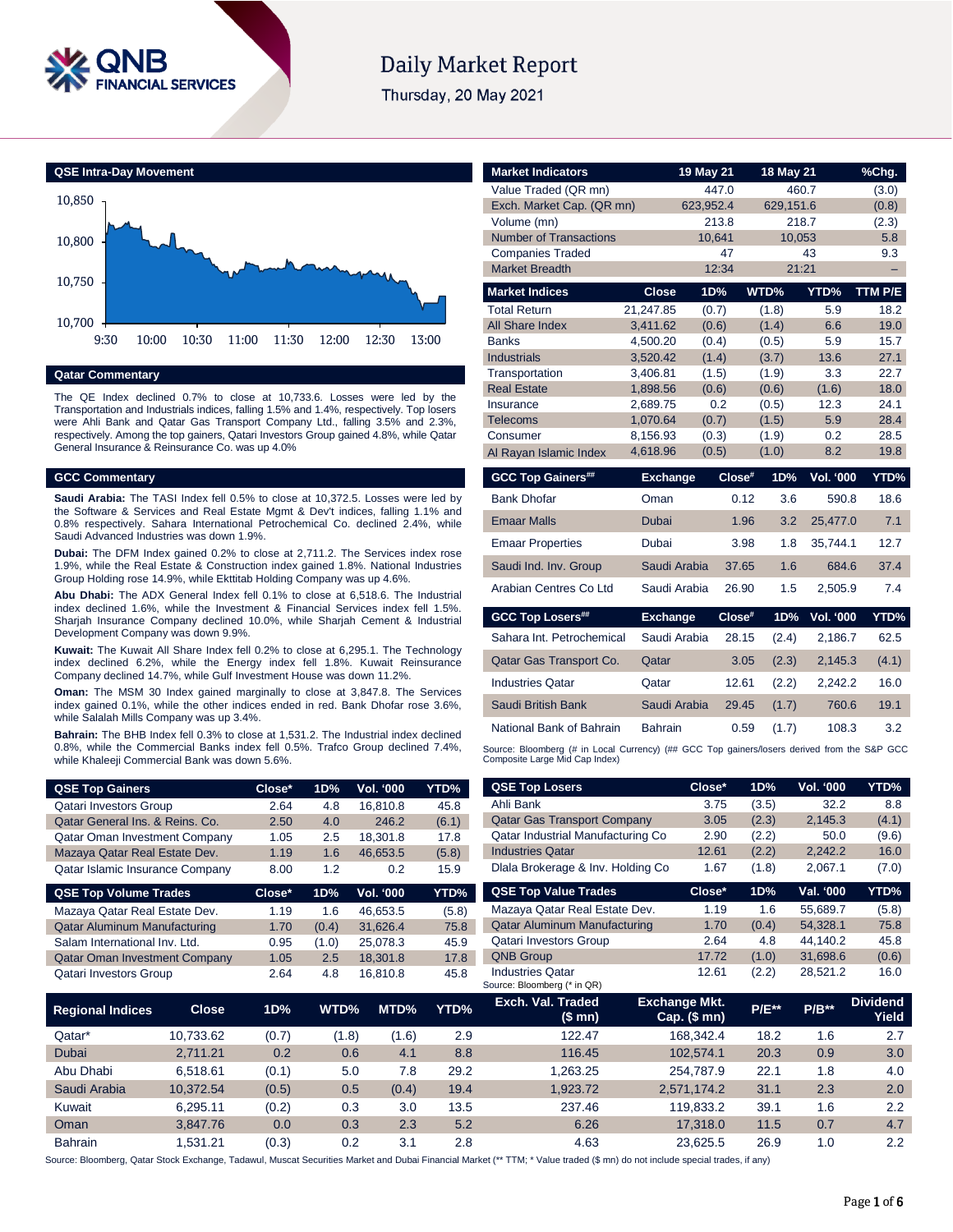

# **Daily Market Report**

Thursday, 20 May 2021



# **Qatar Commentary**

The QE Index declined 0.7% to close at 10,733.6. Losses were led by the Transportation and Industrials indices, falling 1.5% and 1.4%, respectively. Top losers were Ahli Bank and Qatar Gas Transport Company Ltd., falling 3.5% and 2.3%, respectively. Among the top gainers, Qatari Investors Group gained 4.8%, while Qatar General Insurance & Reinsurance Co. was up 4.0%

### **GCC Commentary**

**Saudi Arabia:** The TASI Index fell 0.5% to close at 10,372.5. Losses were led by the Software & Services and Real Estate Mgmt & Dev't indices, falling 1.1% and 0.8% respectively. Sahara International Petrochemical Co. declined 2.4%, while Saudi Advanced Industries was down 1.9%.

**Dubai:** The DFM Index gained 0.2% to close at 2,711.2. The Services index rose 1.9%, while the Real Estate & Construction index gained 1.8%. National Industries Group Holding rose 14.9%, while Ekttitab Holding Company was up 4.6%.

**Abu Dhabi:** The ADX General Index fell 0.1% to close at 6,518.6. The Industrial index declined 1.6%, while the Investment & Financial Services index fell 1.5%. Sharjah Insurance Company declined 10.0%, while Sharjah Cement & Industrial Development Company was down 9.9%.

**Kuwait:** The Kuwait All Share Index fell 0.2% to close at 6,295.1. The Technology index declined 6.2%, while the Energy index fell 1.8%. Kuwait Reinsurance Company declined 14.7%, while Gulf Investment House was down 11.2%.

**Oman:** The MSM 30 Index gained marginally to close at 3,847.8. The Services index gained 0.1%, while the other indices ended in red. Bank Dhofar rose 3.6%, while Salalah Mills Company was up 3.4%.

**Bahrain:** The BHB Index fell 0.3% to close at 1,531.2. The Industrial index declined 0.8%, while the Commercial Banks index fell 0.5%. Trafco Group declined 7.4%, while Khaleeji Commercial Bank was down 5.6%.

| <b>QSE Top Gainers</b>               | Close* | 1D% | Vol. '000     | YTD%  |
|--------------------------------------|--------|-----|---------------|-------|
| <b>Qatari Investors Group</b>        | 2.64   | 4.8 | 16,810.8      | 45.8  |
| Qatar General Ins. & Reins. Co.      | 2.50   | 4.0 | 246.2         | (6.1) |
| <b>Qatar Oman Investment Company</b> | 1.05   | 2.5 | 18,301.8      | 17.8  |
| Mazaya Qatar Real Estate Dev.        | 1.19   | 1.6 | 46.653.5      | (5.8) |
| Qatar Islamic Insurance Company      | 8.00   | 1.2 | $0.2^{\circ}$ | 15.9  |
| <b>QSE Top Volume Trades</b>         | Close* | 1D% | Vol. '000     | YTD%  |

| Mazaya Qatar Real Estate Dev.        | 1.19 | 1.6   | 46.653.5 | (5.8) |
|--------------------------------------|------|-------|----------|-------|
| <b>Qatar Aluminum Manufacturing</b>  | 1.70 | (0.4) | 31.626.4 | 75.8  |
| Salam International Inv. Ltd.        | 0.95 | (1.0) | 25.078.3 | 45.9  |
| <b>Qatar Oman Investment Company</b> | 1.05 | 2.5   | 18.301.8 | 17.8  |
| <b>Qatari Investors Group</b>        | 2.64 | 4.8   | 16.810.8 | 45.8  |
|                                      |      |       |          |       |

|                         |              |       |       |       |      | Source: Bloomberg (* in QR)  |                                      |              |         |                          |
|-------------------------|--------------|-------|-------|-------|------|------------------------------|--------------------------------------|--------------|---------|--------------------------|
| <b>Regional Indices</b> | <b>Close</b> | 1D%   | WTD%  | MTD%  | YTD% | Exch. Val. Traded<br>(\$ mn) | <b>Exchange Mkt.</b><br>Cap. $($mn)$ | <b>P/E**</b> | $P/B**$ | <b>Dividend</b><br>Yield |
| Qatar*                  | 10,733.62    | (0.7) | (1.8) | (1.6) | 2.9  | 122.47                       | 168.342.4                            | 18.2         | 1.6     | 2.7                      |
| <b>Dubai</b>            | 2.711.21     | 0.2   | 0.6   | 4.1   | 8.8  | 116.45                       | 102.574.1                            | 20.3         | 0.9     | 3.0                      |
| Abu Dhabi               | 6.518.61     | (0.1) | 5.0   | 7.8   | 29.2 | 1.263.25                     | 254.787.9                            | 22.1         | 1.8     | 4.0                      |
| Saudi Arabia            | 10.372.54    | (0.5) | 0.5   | (0.4) | 19.4 | 1.923.72                     | 2,571,174.2                          | 31.1         | 2.3     | 2.0                      |
| Kuwait                  | 6.295.11     | (0.2) | 0.3   | 3.0   | 13.5 | 237.46                       | 119.833.2                            | 39.1         | 1.6     | 2.2                      |
| Oman                    | 3.847.76     | 0.0   | 0.3   | 2.3   | 5.2  | 6.26                         | 17,318.0                             | 11.5         | 0.7     | 4.7                      |
| <b>Bahrain</b>          | 1.531.21     | (0.3) | 0.2   | 3.1   | 2.8  | 4.63                         | 23.625.5                             | 26.9         | 1.0     | 2.2                      |

Source: Bloomberg, Qatar Stock Exchange, Tadawul, Muscat Securities Market and Dubai Financial Ma

| Value Traded (QR mn)          |                 | 447.0     |           | 460.7            | (3.0)   |
|-------------------------------|-----------------|-----------|-----------|------------------|---------|
| Exch. Market Cap. (QR mn)     |                 | 623,952.4 | 629,151.6 |                  | (0.8)   |
| Volume (mn)                   |                 | 213.8     |           | 218.7            | (2.3)   |
| <b>Number of Transactions</b> |                 | 10,641    | 10,053    |                  | 5.8     |
| <b>Companies Traded</b>       |                 | 47        |           | 43               | 9.3     |
| <b>Market Breadth</b>         |                 | 12:34     |           | 21:21            |         |
| <b>Market Indices</b>         | <b>Close</b>    | 1D%       | WTD%      | YTD%             | TTM P/E |
| <b>Total Return</b>           | 21,247.85       | (0.7)     | (1.8)     | 5.9              | 18.2    |
| <b>All Share Index</b>        | 3,411.62        | (0.6)     | (1.4)     | 6.6              | 19.0    |
| <b>Banks</b>                  | 4,500.20        | (0.4)     | (0.5)     | 5.9              | 15.7    |
| <b>Industrials</b>            | 3,520.42        | (1.4)     | (3.7)     | 13.6             | 27.1    |
| Transportation                | 3,406.81        | (1.5)     | (1.9)     | 3.3              | 22.7    |
| <b>Real Estate</b>            | 1,898.56        | (0.6)     | (0.6)     | (1.6)            | 18.0    |
| Insurance                     | 2,689.75        | 0.2       | (0.5)     | 12.3             | 24.1    |
| <b>Telecoms</b>               | 1,070.64        | (0.7)     | (1.5)     | 5.9              | 28.4    |
| Consumer                      | 8,156.93        | (0.3)     | (1.9)     | 0.2              | 28.5    |
| Al Rayan Islamic Index        | 4,618.96        | (0.5)     | (1.0)     | 8.2              | 19.8    |
|                               |                 |           |           |                  |         |
| <b>GCC Top Gainers##</b>      | <b>Exchange</b> | Close#    | 1D%       | <b>Vol. '000</b> | YTD%    |
| <b>Bank Dhofar</b>            | Oman            | 0.12      | 3.6       | 590.8            | 18.6    |
| <b>Emaar Malls</b>            | <b>Dubai</b>    | 1.96      | 3.2       | 25,477.0         | 7.1     |
| <b>Emaar Properties</b>       | Dubai           | 3.98      | 1.8       | 35.744.1         | 12.7    |
| Saudi Ind. Inv. Group         | Saudi Arabia    | 37.65     | 1.6       | 684.6            | 37.4    |
| Arabian Centres Co Ltd        | Saudi Arabia    | 26.90     | 1.5       | 2,505.9          | 7.4     |
| <b>GCC Top Losers##</b>       | <b>Exchange</b> | Close#    | 1D%       | <b>Vol. '000</b> | YTD%    |
| Sahara Int. Petrochemical     | Saudi Arabia    | 28.15     | (2.4)     | 2,186.7          | 62.5    |
| Qatar Gas Transport Co.       | Qatar           | 3.05      | (2.3)     | 2,145.3          | (4.1)   |
| <b>Industries Qatar</b>       | Qatar           | 12.61     | (2.2)     | 2,242.2          | 16.0    |
| Saudi British Bank            | Saudi Arabia    | 29.45     | (1.7)     | 760.6            | 19.1    |

**Market Indicators 19 May 21 18 May 21 %Chg.**

Source: Bloomberg (# in Local Currency) (## GCC Top gainers/losers derived from the S&P GCC Composite Large Mid Cap Index)

| <b>QSE Top Losers</b>                                  | Close*                                 | 1D%          | Vol. '000 | YTD%                     |
|--------------------------------------------------------|----------------------------------------|--------------|-----------|--------------------------|
| Ahli Bank                                              | 3.75                                   | (3.5)        | 32.2      | 8.8                      |
| <b>Qatar Gas Transport Company</b>                     | 3.05                                   | (2.3)        | 2,145.3   | (4.1)                    |
| Qatar Industrial Manufacturing Co                      | 2.90                                   | (2.2)        | 50.0      | (9.6)                    |
| <b>Industries Qatar</b>                                | 12.61                                  | (2.2)        | 2,242.2   | 16.0                     |
| Dlala Brokerage & Inv. Holding Co                      | 1.67                                   | (1.8)        | 2,067.1   | (7.0)                    |
| <b>QSE Top Value Trades</b>                            | Close*                                 | 1D%          | Val. '000 | YTD%                     |
| Mazaya Qatar Real Estate Dev.                          | 1.19                                   | 1.6          | 55.689.7  | (5.8)                    |
| <b>Qatar Aluminum Manufacturing</b>                    | 1.70                                   | (0.4)        | 54.328.1  | 75.8                     |
| <b>Qatari Investors Group</b>                          | 2.64                                   | 4.8          | 44.140.2  | 45.8                     |
| <b>QNB Group</b>                                       | 17.72                                  | (1.0)        | 31,698.6  | (0.6)                    |
| <b>Industries Oatar</b><br>Source: Bloomberg (* in QR) | 12.61                                  | (2.2)        | 28,521.2  | 16.0                     |
| Exch. Val. Traded<br>(\$ mn)                           | <b>Exchange Mkt.</b><br>$Cap.$ (\$ mn) | <b>P/E**</b> | $P/B**$   | <b>Dividend</b><br>Yield |
| 122.47                                                 | 168.342.4                              | 18.2         | 1.6       | 2.7                      |
|                                                        |                                        |              |           |                          |
| 116.45                                                 | 102,574.1                              | 20.3         | 0.9       | 3.0                      |
| 1.263.25                                               | 254,787.9                              | 22.1         | 1.8       | 4.0                      |
| 1,923.72                                               | 2,571,174.2                            | 31.1         | 2.3       | 2.0                      |
| 237.46                                                 | 119,833.2                              | 39.1         | 1.6       | 2.2                      |
| 6.26                                                   | 17.318.0                               | 11.5         | 0.7       | 4.7                      |
| 4.63                                                   | 23,625.5                               | 26.9         | 1.0       | 2.2                      |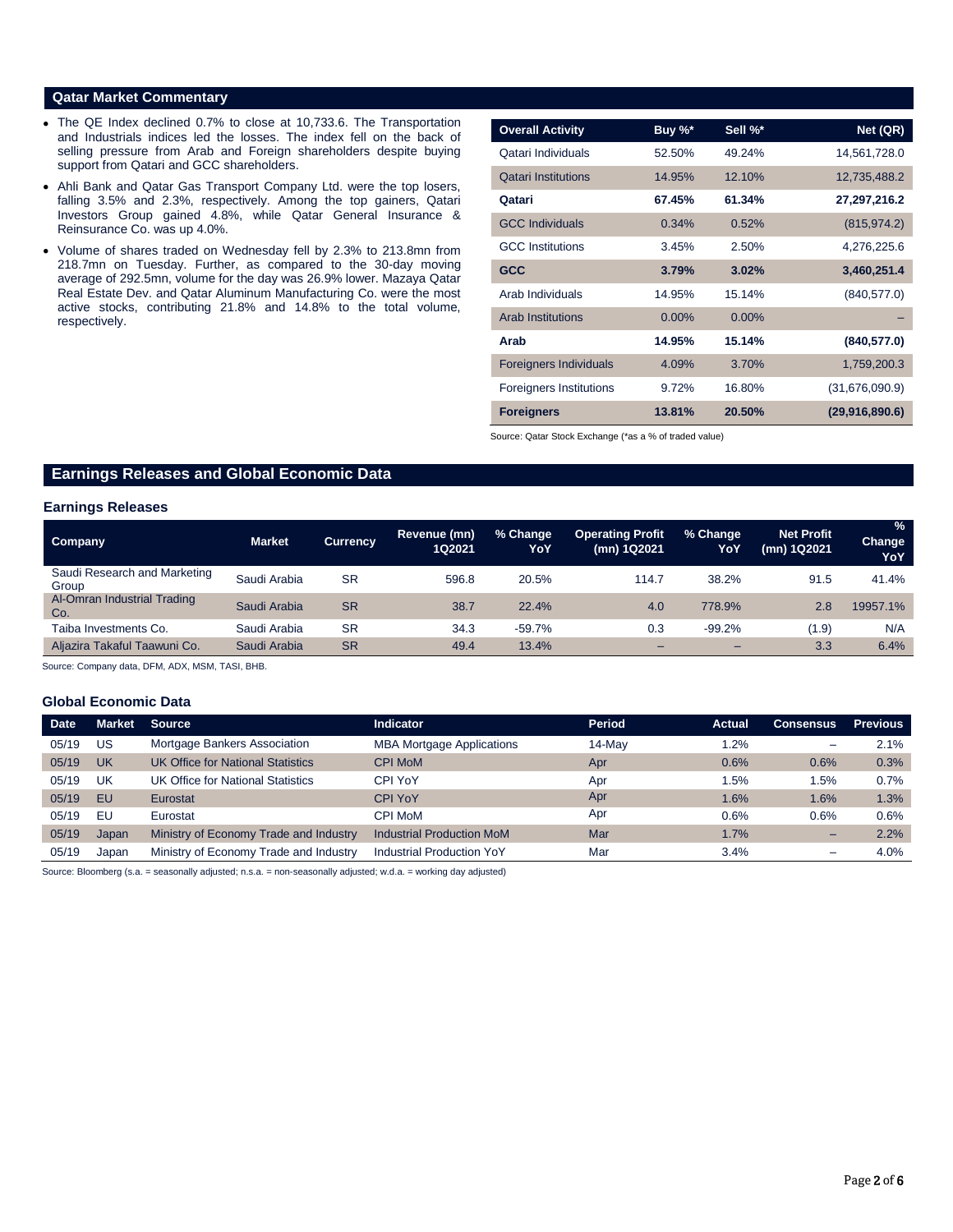### **Qatar Market Commentary**

- The QE Index declined 0.7% to close at 10,733.6. The Transportation and Industrials indices led the losses. The index fell on the back of selling pressure from Arab and Foreign shareholders despite buying support from Qatari and GCC shareholders.
- Ahli Bank and Qatar Gas Transport Company Ltd. were the top losers, falling 3.5% and 2.3%, respectively. Among the top gainers, Qatari Investors Group gained 4.8%, while Qatar General Insurance & Reinsurance Co. was up 4.0%.
- Volume of shares traded on Wednesday fell by 2.3% to 213.8mn from 218.7mn on Tuesday. Further, as compared to the 30-day moving average of 292.5mn, volume for the day was 26.9% lower. Mazaya Qatar Real Estate Dev. and Qatar Aluminum Manufacturing Co. were the most active stocks, contributing 21.8% and 14.8% to the total volume, respectively.

| <b>Overall Activity</b>        | Buy %*   | Sell %*  | Net (QR)       |
|--------------------------------|----------|----------|----------------|
| Qatari Individuals             | 52.50%   | 49.24%   | 14,561,728.0   |
| <b>Qatari Institutions</b>     | 14.95%   | 12.10%   | 12,735,488.2   |
| Qatari                         | 67.45%   | 61.34%   | 27,297,216.2   |
| <b>GCC Individuals</b>         | 0.34%    | 0.52%    | (815, 974.2)   |
| <b>GCC</b> Institutions        | 3.45%    | 2.50%    | 4,276,225.6    |
| <b>GCC</b>                     | 3.79%    | 3.02%    | 3,460,251.4    |
| Arab Individuals               | 14.95%   | 15.14%   | (840, 577.0)   |
| <b>Arab Institutions</b>       | $0.00\%$ | $0.00\%$ |                |
| Arab                           | 14.95%   | 15.14%   | (840, 577.0)   |
| <b>Foreigners Individuals</b>  | 4.09%    | 3.70%    | 1,759,200.3    |
| <b>Foreigners Institutions</b> | 9.72%    | 16.80%   | (31,676,090.9) |
| <b>Foreigners</b>              | 13.81%   | 20.50%   | (29,916,890.6) |

Source: Qatar Stock Exchange (\*as a % of traded value)

# **Earnings Releases and Global Economic Data**

#### **Earnings Releases**

| Company                               | <b>Market</b> | <b>Currency</b> | Revenue (mn)<br>1Q2021 | % Change<br>YoY | <b>Operating Profit</b><br>(mn) 1Q2021 | % Change<br>YoY | <b>Net Profit</b><br>(mn) 1Q2021 | $\frac{9}{6}$<br>Change<br>YoY |
|---------------------------------------|---------------|-----------------|------------------------|-----------------|----------------------------------------|-----------------|----------------------------------|--------------------------------|
| Saudi Research and Marketing<br>Group | Saudi Arabia  | <b>SR</b>       | 596.8                  | 20.5%           | 114.7                                  | 38.2%           | 91.5                             | 41.4%                          |
| Al-Omran Industrial Trading<br>Co.    | Saudi Arabia  | <b>SR</b>       | 38.7                   | 22.4%           | 4.0                                    | 778.9%          | 2.8                              | 19957.1%                       |
| Taiba Investments Co.                 | Saudi Arabia  | <b>SR</b>       | 34.3                   | $-59.7%$        | 0.3                                    | $-99.2%$        | (1.9)                            | N/A                            |
| Aliazira Takaful Taawuni Co.          | Saudi Arabia  | <b>SR</b>       | 49.4                   | 13.4%           |                                        | -               | 3.3                              | 6.4%                           |

Source: Company data, DFM, ADX, MSM, TASI, BHB.

### **Global Economic Data**

| <b>Date</b> | <b>Market</b> | <b>Source</b>                            | <b>Indicator</b>                 | Period | <b>Actual</b> | <b>Consensus</b> | <b>Previous</b> |
|-------------|---------------|------------------------------------------|----------------------------------|--------|---------------|------------------|-----------------|
| 05/19       | US            | Mortgage Bankers Association             | <b>MBA Mortgage Applications</b> | 14-May | 1.2%          | -                | 2.1%            |
| 05/19       | UK            | <b>UK Office for National Statistics</b> | <b>CPI MoM</b>                   | Apr    | 0.6%          | 0.6%             | 0.3%            |
| 05/19       | UK            | UK Office for National Statistics        | CPI YoY                          | Apr    | 1.5%          | 1.5%             | 0.7%            |
| 05/19       | EU            | Eurostat                                 | <b>CPI YoY</b>                   | Apr    | 1.6%          | 1.6%             | 1.3%            |
| 05/19       | EU            | Eurostat                                 | CPI MoM                          | Apr    | 0.6%          | 0.6%             | 0.6%            |
| 05/19       | Japan         | Ministry of Economy Trade and Industry   | <b>Industrial Production MoM</b> | Mar    | 1.7%          | -                | 2.2%            |
| 05/19       | Japan         | Ministry of Economy Trade and Industry   | <b>Industrial Production YoY</b> | Mar    | 3.4%          | -                | 4.0%            |

Source: Bloomberg (s.a. = seasonally adjusted; n.s.a. = non-seasonally adjusted; w.d.a. = working day adjusted)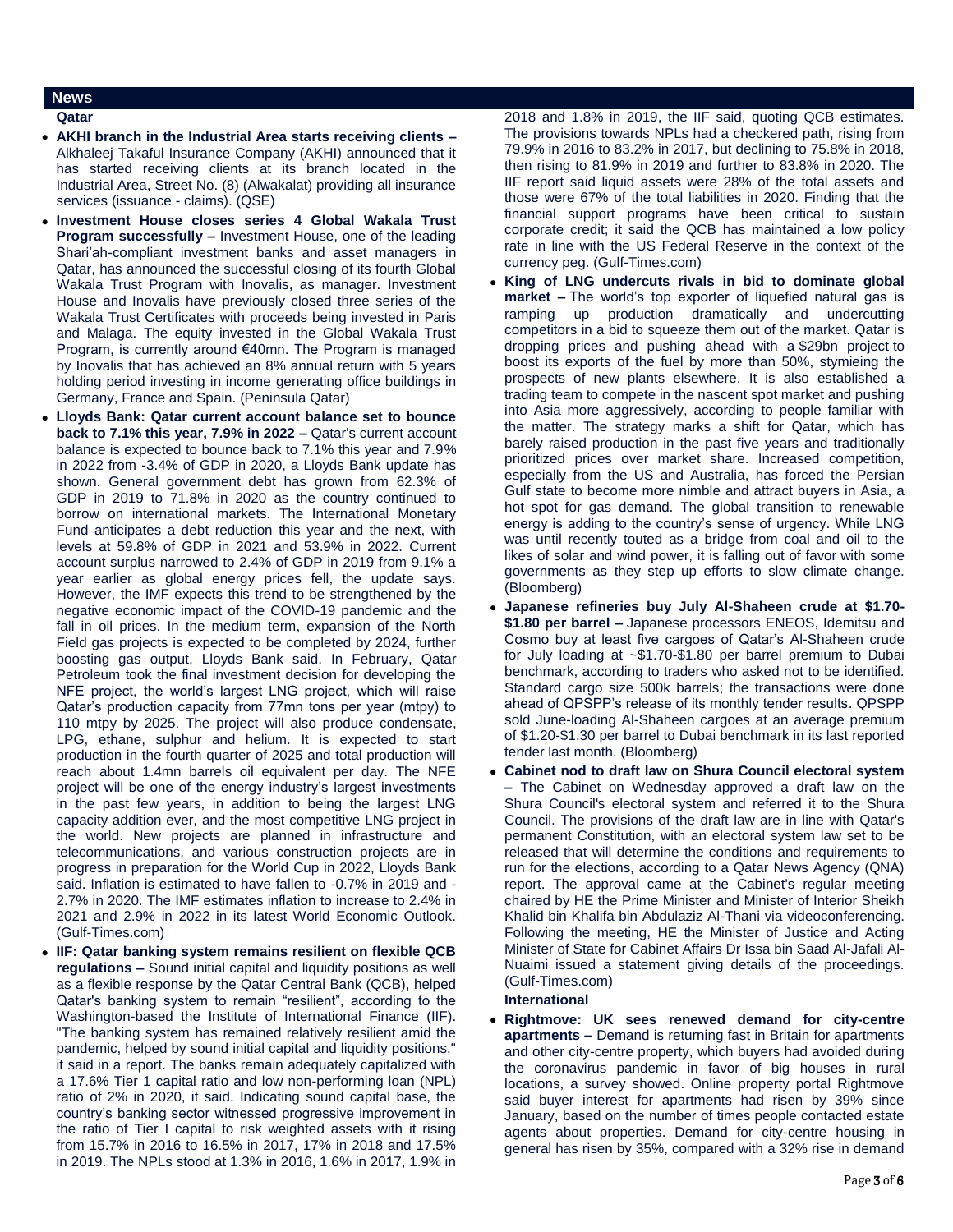### **News**

#### **Qatar**

- **AKHI branch in the Industrial Area starts receiving clients –** Alkhaleej Takaful Insurance Company (AKHI) announced that it has started receiving clients at its branch located in the Industrial Area, Street No. (8) (Alwakalat) providing all insurance services (issuance - claims). (QSE)
- **Investment House closes series 4 Global Wakala Trust Program successfully –** Investment House, one of the leading Shari'ah-compliant investment banks and asset managers in Qatar, has announced the successful closing of its fourth Global Wakala Trust Program with Inovalis, as manager. Investment House and Inovalis have previously closed three series of the Wakala Trust Certificates with proceeds being invested in Paris and Malaga. The equity invested in the Global Wakala Trust Program, is currently around €40mn. The Program is managed by Inovalis that has achieved an 8% annual return with 5 years holding period investing in income generating office buildings in Germany, France and Spain. (Peninsula Qatar)
- **Lloyds Bank: Qatar current account balance set to bounce back to 7.1% this year, 7.9% in 2022 –** Qatar's current account balance is expected to bounce back to 7.1% this year and 7.9% in 2022 from -3.4% of GDP in 2020, a Lloyds Bank update has shown. General government debt has grown from 62.3% of GDP in 2019 to 71.8% in 2020 as the country continued to borrow on international markets. The International Monetary Fund anticipates a debt reduction this year and the next, with levels at 59.8% of GDP in 2021 and 53.9% in 2022. Current account surplus narrowed to 2.4% of GDP in 2019 from 9.1% a year earlier as global energy prices fell, the update says. However, the IMF expects this trend to be strengthened by the negative economic impact of the COVID-19 pandemic and the fall in oil prices. In the medium term, expansion of the North Field gas projects is expected to be completed by 2024, further boosting gas output, Lloyds Bank said. In February, Qatar Petroleum took the final investment decision for developing the NFE project, the world's largest LNG project, which will raise Qatar's production capacity from 77mn tons per year (mtpy) to 110 mtpy by 2025. The project will also produce condensate, LPG, ethane, sulphur and helium. It is expected to start production in the fourth quarter of 2025 and total production will reach about 1.4mn barrels oil equivalent per day. The NFE project will be one of the energy industry's largest investments in the past few years, in addition to being the largest LNG capacity addition ever, and the most competitive LNG project in the world. New projects are planned in infrastructure and telecommunications, and various construction projects are in progress in preparation for the World Cup in 2022, Lloyds Bank said. Inflation is estimated to have fallen to -0.7% in 2019 and - 2.7% in 2020. The IMF estimates inflation to increase to 2.4% in 2021 and 2.9% in 2022 in its latest World Economic Outlook. (Gulf-Times.com)
- **IIF: Qatar banking system remains resilient on flexible QCB regulations –** Sound initial capital and liquidity positions as well as a flexible response by the Qatar Central Bank (QCB), helped Qatar's banking system to remain "resilient", according to the Washington-based the Institute of International Finance (IIF). "The banking system has remained relatively resilient amid the pandemic, helped by sound initial capital and liquidity positions," it said in a report. The banks remain adequately capitalized with a 17.6% Tier 1 capital ratio and low non-performing loan (NPL) ratio of 2% in 2020, it said. Indicating sound capital base, the country's banking sector witnessed progressive improvement in the ratio of Tier I capital to risk weighted assets with it rising from 15.7% in 2016 to 16.5% in 2017, 17% in 2018 and 17.5% in 2019. The NPLs stood at 1.3% in 2016, 1.6% in 2017, 1.9% in

2018 and 1.8% in 2019, the IIF said, quoting QCB estimates. The provisions towards NPLs had a checkered path, rising from 79.9% in 2016 to 83.2% in 2017, but declining to 75.8% in 2018, then rising to 81.9% in 2019 and further to 83.8% in 2020. The IIF report said liquid assets were 28% of the total assets and those were 67% of the total liabilities in 2020. Finding that the financial support programs have been critical to sustain corporate credit; it said the QCB has maintained a low policy rate in line with the US Federal Reserve in the context of the currency peg. (Gulf-Times.com)

- **King of LNG undercuts rivals in bid to dominate global market –** The world's top exporter of liquefied natural gas is ramping up production dramatically and undercutting competitors in a bid to squeeze them out of the market. Qatar is dropping prices and pushing ahead with a \$29bn project to boost its exports of the fuel by more than 50%, stymieing the prospects of new plants elsewhere. It is also established a trading team to compete in the nascent spot market and pushing into Asia more aggressively, according to people familiar with the matter. The strategy marks a shift for Qatar, which has barely raised production in the past five years and traditionally prioritized prices over market share. Increased competition, especially from the US and Australia, has forced the Persian Gulf state to become more nimble and attract buyers in Asia, a hot spot for gas demand. The global transition to renewable energy is adding to the country's sense of urgency. While LNG was until recently touted as a bridge from coal and oil to the likes of solar and wind power, it is falling out of favor with some governments as they step up efforts to slow climate change. (Bloomberg)
- **Japanese refineries buy July Al-Shaheen crude at \$1.70- \$1.80 per barrel –** Japanese processors ENEOS, Idemitsu and Cosmo buy at least five cargoes of Qatar's Al-Shaheen crude for July loading at ~\$1.70-\$1.80 per barrel premium to Dubai benchmark, according to traders who asked not to be identified. Standard cargo size 500k barrels; the transactions were done ahead of QPSPP's release of its monthly tender results. QPSPP sold June-loading Al-Shaheen cargoes at an average premium of \$1.20-\$1.30 per barrel to Dubai benchmark in its last reported tender last month. (Bloomberg)
- **Cabinet nod to draft law on Shura Council electoral system –** The Cabinet on Wednesday approved a draft law on the Shura Council's electoral system and referred it to the Shura Council. The provisions of the draft law are in line with Qatar's permanent Constitution, with an electoral system law set to be released that will determine the conditions and requirements to run for the elections, according to a Qatar News Agency (QNA) report. The approval came at the Cabinet's regular meeting chaired by HE the Prime Minister and Minister of Interior Sheikh Khalid bin Khalifa bin Abdulaziz Al-Thani via videoconferencing. Following the meeting, HE the Minister of Justice and Acting Minister of State for Cabinet Affairs Dr Issa bin Saad Al-Jafali Al-Nuaimi issued a statement giving details of the proceedings. (Gulf-Times.com)

# **International**

 **Rightmove: UK sees renewed demand for city-centre apartments –** Demand is returning fast in Britain for apartments and other city-centre property, which buyers had avoided during the coronavirus pandemic in favor of big houses in rural locations, a survey showed. Online property portal Rightmove said buyer interest for apartments had risen by 39% since January, based on the number of times people contacted estate agents about properties. Demand for city-centre housing in general has risen by 35%, compared with a 32% rise in demand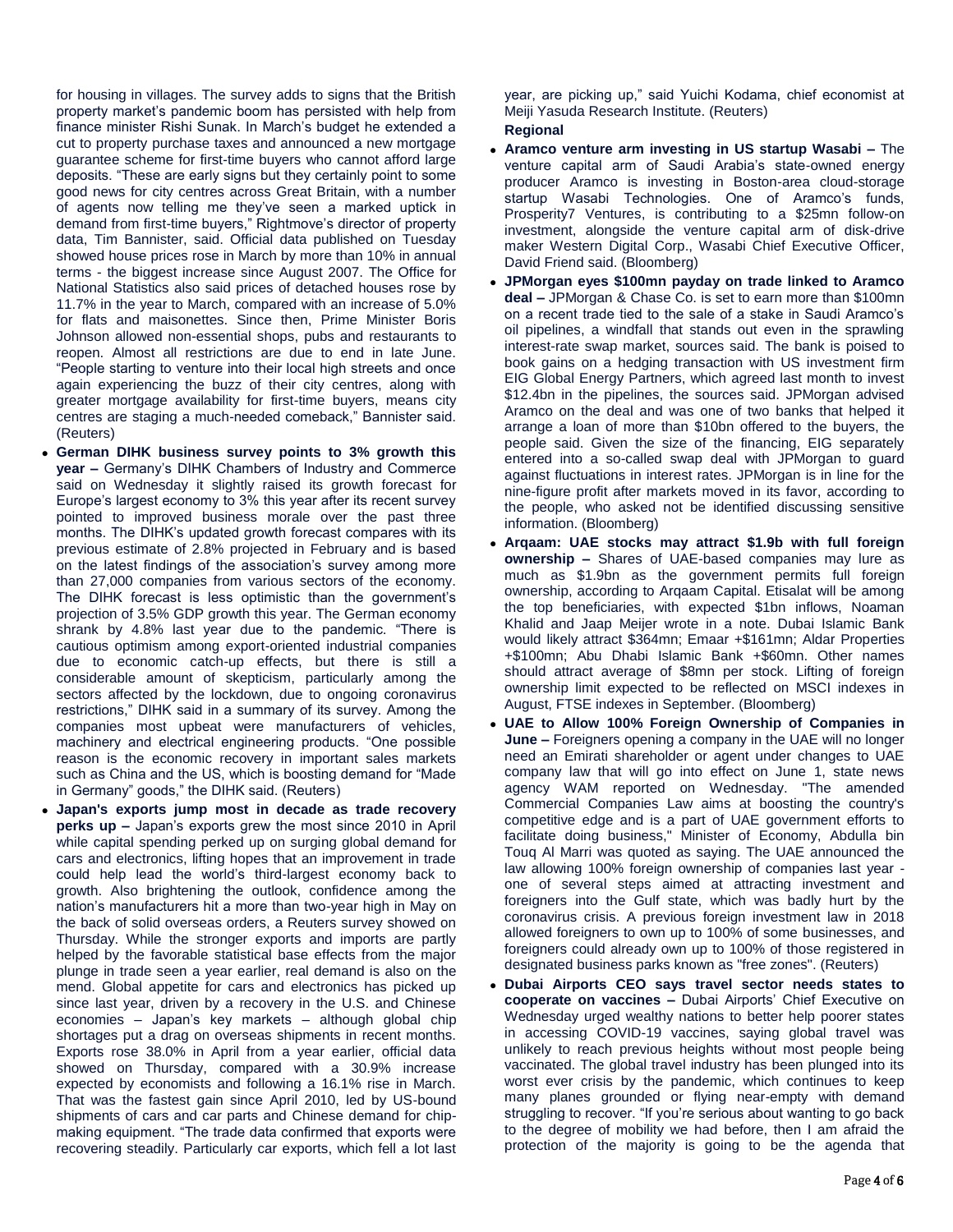for housing in villages. The survey adds to signs that the British property market's pandemic boom has persisted with help from finance minister Rishi Sunak. In March's budget he extended a cut to property purchase taxes and announced a new mortgage guarantee scheme for first-time buyers who cannot afford large deposits. "These are early signs but they certainly point to some good news for city centres across Great Britain, with a number of agents now telling me they've seen a marked uptick in demand from first-time buyers," Rightmove's director of property data, Tim Bannister, said. Official data published on Tuesday showed house prices rose in March by more than 10% in annual terms - the biggest increase since August 2007. The Office for National Statistics also said prices of detached houses rose by 11.7% in the year to March, compared with an increase of 5.0% for flats and maisonettes. Since then, Prime Minister Boris Johnson allowed non-essential shops, pubs and restaurants to reopen. Almost all restrictions are due to end in late June. "People starting to venture into their local high streets and once again experiencing the buzz of their city centres, along with greater mortgage availability for first-time buyers, means city centres are staging a much-needed comeback," Bannister said. (Reuters)

- **German DIHK business survey points to 3% growth this year –** Germany's DIHK Chambers of Industry and Commerce said on Wednesday it slightly raised its growth forecast for Europe's largest economy to 3% this year after its recent survey pointed to improved business morale over the past three months. The DIHK's updated growth forecast compares with its previous estimate of 2.8% projected in February and is based on the latest findings of the association's survey among more than 27,000 companies from various sectors of the economy. The DIHK forecast is less optimistic than the government's projection of 3.5% GDP growth this year. The German economy shrank by 4.8% last year due to the pandemic. "There is cautious optimism among export-oriented industrial companies due to economic catch-up effects, but there is still a considerable amount of skepticism, particularly among the sectors affected by the lockdown, due to ongoing coronavirus restrictions," DIHK said in a summary of its survey. Among the companies most upbeat were manufacturers of vehicles, machinery and electrical engineering products. "One possible reason is the economic recovery in important sales markets such as China and the US, which is boosting demand for "Made in Germany" goods," the DIHK said. (Reuters)
- **Japan's exports jump most in decade as trade recovery perks up –** Japan's exports grew the most since 2010 in April while capital spending perked up on surging global demand for cars and electronics, lifting hopes that an improvement in trade could help lead the world's third-largest economy back to growth. Also brightening the outlook, confidence among the nation's manufacturers hit a more than two-year high in May on the back of solid overseas orders, a Reuters survey showed on Thursday. While the stronger exports and imports are partly helped by the favorable statistical base effects from the major plunge in trade seen a year earlier, real demand is also on the mend. Global appetite for cars and electronics has picked up since last year, driven by a recovery in the U.S. and Chinese economies – Japan's key markets – although global chip shortages put a drag on overseas shipments in recent months. Exports rose 38.0% in April from a year earlier, official data showed on Thursday, compared with a 30.9% increase expected by economists and following a 16.1% rise in March. That was the fastest gain since April 2010, led by US-bound shipments of cars and car parts and Chinese demand for chipmaking equipment. "The trade data confirmed that exports were recovering steadily. Particularly car exports, which fell a lot last

year, are picking up," said Yuichi Kodama, chief economist at Meiji Yasuda Research Institute. (Reuters) **Regional**

- **Aramco venture arm investing in US startup Wasabi –** The venture capital arm of Saudi Arabia's state-owned energy producer Aramco is investing in Boston-area cloud-storage startup Wasabi Technologies. One of Aramco's funds, Prosperity7 Ventures, is contributing to a \$25mn follow-on investment, alongside the venture capital arm of disk-drive maker Western Digital Corp., Wasabi Chief Executive Officer, David Friend said. (Bloomberg)
- **JPMorgan eyes \$100mn payday on trade linked to Aramco deal –** JPMorgan & Chase Co. is set to earn more than \$100mn on a recent trade tied to the sale of a stake in Saudi Aramco's oil pipelines, a windfall that stands out even in the sprawling interest-rate swap market, sources said. The bank is poised to book gains on a hedging transaction with US investment firm EIG Global Energy Partners, which agreed last month to invest \$12.4bn in the pipelines, the sources said. JPMorgan advised Aramco on the deal and was one of two banks that helped it arrange a loan of more than \$10bn offered to the buyers, the people said. Given the size of the financing, EIG separately entered into a so-called swap deal with JPMorgan to guard against fluctuations in interest rates. JPMorgan is in line for the nine-figure profit after markets moved in its favor, according to the people, who asked not be identified discussing sensitive information. (Bloomberg)
- **Arqaam: UAE stocks may attract \$1.9b with full foreign ownership –** Shares of UAE-based companies may lure as much as \$1.9bn as the government permits full foreign ownership, according to Arqaam Capital. Etisalat will be among the top beneficiaries, with expected \$1bn inflows, Noaman Khalid and Jaap Meijer wrote in a note. Dubai Islamic Bank would likely attract \$364mn; Emaar +\$161mn; Aldar Properties +\$100mn; Abu Dhabi Islamic Bank +\$60mn. Other names should attract average of \$8mn per stock. Lifting of foreign ownership limit expected to be reflected on MSCI indexes in August, FTSE indexes in September. (Bloomberg)
- **UAE to Allow 100% Foreign Ownership of Companies in June –** Foreigners opening a company in the UAE will no longer need an Emirati shareholder or agent under changes to UAE company law that will go into effect on June 1, state news agency WAM reported on Wednesday. "The amended Commercial Companies Law aims at boosting the country's competitive edge and is a part of UAE government efforts to facilitate doing business," Minister of Economy, Abdulla bin Touq Al Marri was quoted as saying. The UAE announced the law allowing 100% foreign ownership of companies last year one of several steps aimed at attracting investment and foreigners into the Gulf state, which was badly hurt by the coronavirus crisis. A previous foreign investment law in 2018 allowed foreigners to own up to 100% of some businesses, and foreigners could already own up to 100% of those registered in designated business parks known as "free zones". (Reuters)
- **Dubai Airports CEO says travel sector needs states to cooperate on vaccines –** Dubai Airports' Chief Executive on Wednesday urged wealthy nations to better help poorer states in accessing COVID-19 vaccines, saying global travel was unlikely to reach previous heights without most people being vaccinated. The global travel industry has been plunged into its worst ever crisis by the pandemic, which continues to keep many planes grounded or flying near-empty with demand struggling to recover. "If you're serious about wanting to go back to the degree of mobility we had before, then I am afraid the protection of the majority is going to be the agenda that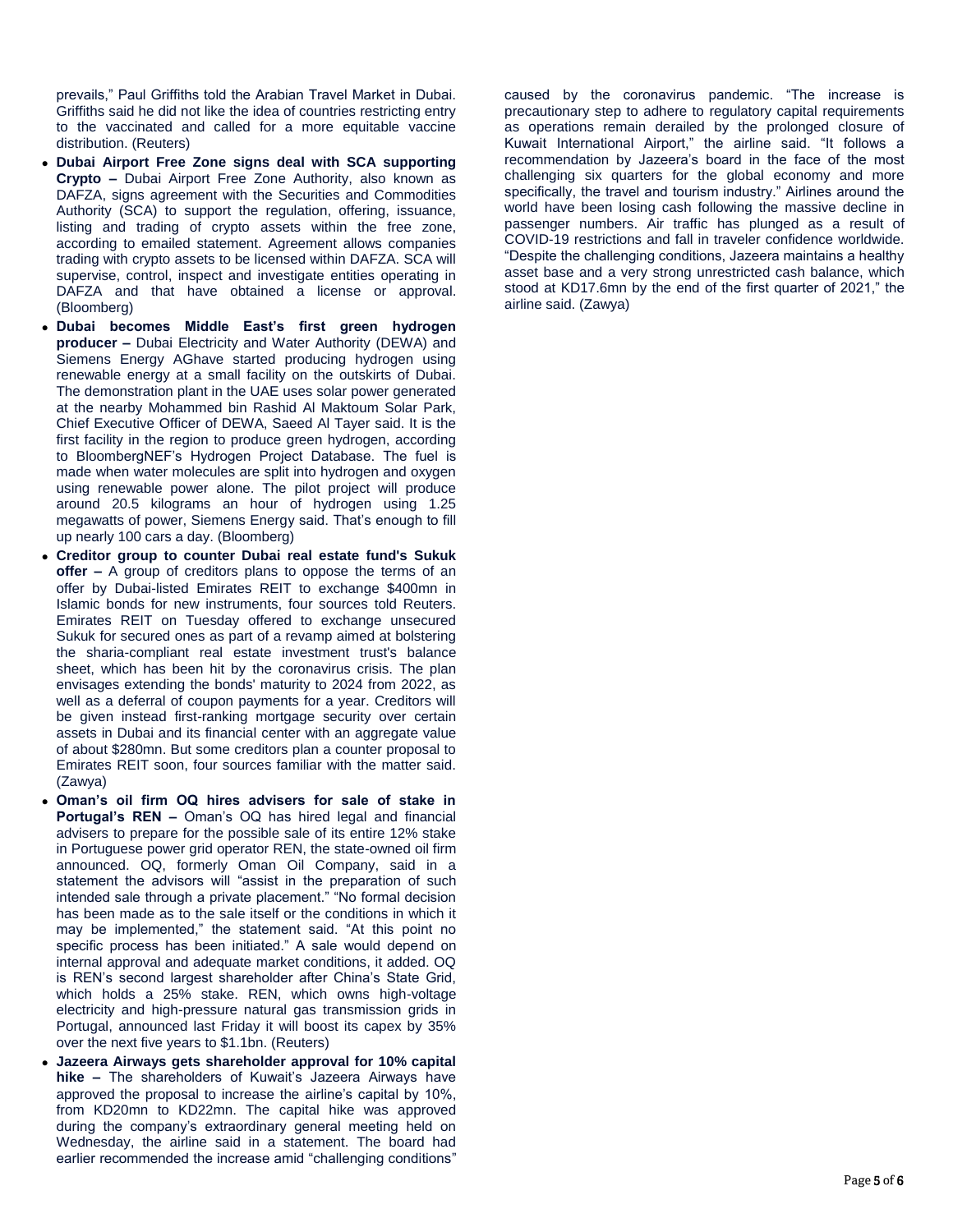prevails," Paul Griffiths told the Arabian Travel Market in Dubai. Griffiths said he did not like the idea of countries restricting entry to the vaccinated and called for a more equitable vaccine distribution. (Reuters)

- **Dubai Airport Free Zone signs deal with SCA supporting Crypto –** Dubai Airport Free Zone Authority, also known as DAFZA, signs agreement with the Securities and Commodities Authority (SCA) to support the regulation, offering, issuance, listing and trading of crypto assets within the free zone, according to emailed statement. Agreement allows companies trading with crypto assets to be licensed within DAFZA. SCA will supervise, control, inspect and investigate entities operating in DAFZA and that have obtained a license or approval. (Bloomberg)
- **Dubai becomes Middle East's first green hydrogen producer –** Dubai Electricity and Water Authority (DEWA) and Siemens Energy AGhave started producing hydrogen using renewable energy at a small facility on the outskirts of Dubai. The demonstration plant in the UAE uses solar power generated at the nearby Mohammed bin Rashid Al Maktoum Solar Park, Chief Executive Officer of DEWA, Saeed Al Tayer said. It is the first facility in the region to produce green hydrogen, according to BloombergNEF's Hydrogen Project Database. The fuel is made when water molecules are split into hydrogen and oxygen using renewable power alone. The pilot project will produce around 20.5 kilograms an hour of hydrogen using 1.25 megawatts of power, Siemens Energy said. That's enough to fill up nearly 100 cars a day. (Bloomberg)
- **Creditor group to counter Dubai real estate fund's Sukuk offer –** A group of creditors plans to oppose the terms of an offer by Dubai-listed Emirates REIT to exchange \$400mn in Islamic bonds for new instruments, four sources told Reuters. Emirates REIT on Tuesday offered to exchange unsecured Sukuk for secured ones as part of a revamp aimed at bolstering the sharia-compliant real estate investment trust's balance sheet, which has been hit by the coronavirus crisis. The plan envisages extending the bonds' maturity to 2024 from 2022, as well as a deferral of coupon payments for a year. Creditors will be given instead first-ranking mortgage security over certain assets in Dubai and its financial center with an aggregate value of about \$280mn. But some creditors plan a counter proposal to Emirates REIT soon, four sources familiar with the matter said. (Zawya)
- **Oman's oil firm OQ hires advisers for sale of stake in Portugal's REN –** Oman's OQ has hired legal and financial advisers to prepare for the possible sale of its entire 12% stake in Portuguese power grid operator REN, the state-owned oil firm announced. OQ, formerly Oman Oil Company, said in a statement the advisors will "assist in the preparation of such intended sale through a private placement." "No formal decision has been made as to the sale itself or the conditions in which it may be implemented," the statement said. "At this point no specific process has been initiated." A sale would depend on internal approval and adequate market conditions, it added. OQ is REN's second largest shareholder after China's State Grid, which holds a 25% stake. REN, which owns high-voltage electricity and high-pressure natural gas transmission grids in Portugal, announced last Friday it will boost its capex by 35% over the next five years to \$1.1bn. (Reuters)
- **Jazeera Airways gets shareholder approval for 10% capital hike –** The shareholders of Kuwait's Jazeera Airways have approved the proposal to increase the airline's capital by 10%, from KD20mn to KD22mn. The capital hike was approved during the company's extraordinary general meeting held on Wednesday, the airline said in a statement. The board had earlier recommended the increase amid "challenging conditions"

caused by the coronavirus pandemic. "The increase is precautionary step to adhere to regulatory capital requirements as operations remain derailed by the prolonged closure of Kuwait International Airport," the airline said. "It follows a recommendation by Jazeera's board in the face of the most challenging six quarters for the global economy and more specifically, the travel and tourism industry." Airlines around the world have been losing cash following the massive decline in passenger numbers. Air traffic has plunged as a result of COVID-19 restrictions and fall in traveler confidence worldwide. "Despite the challenging conditions, Jazeera maintains a healthy asset base and a very strong unrestricted cash balance, which stood at KD17.6mn by the end of the first quarter of 2021," the airline said. (Zawya)